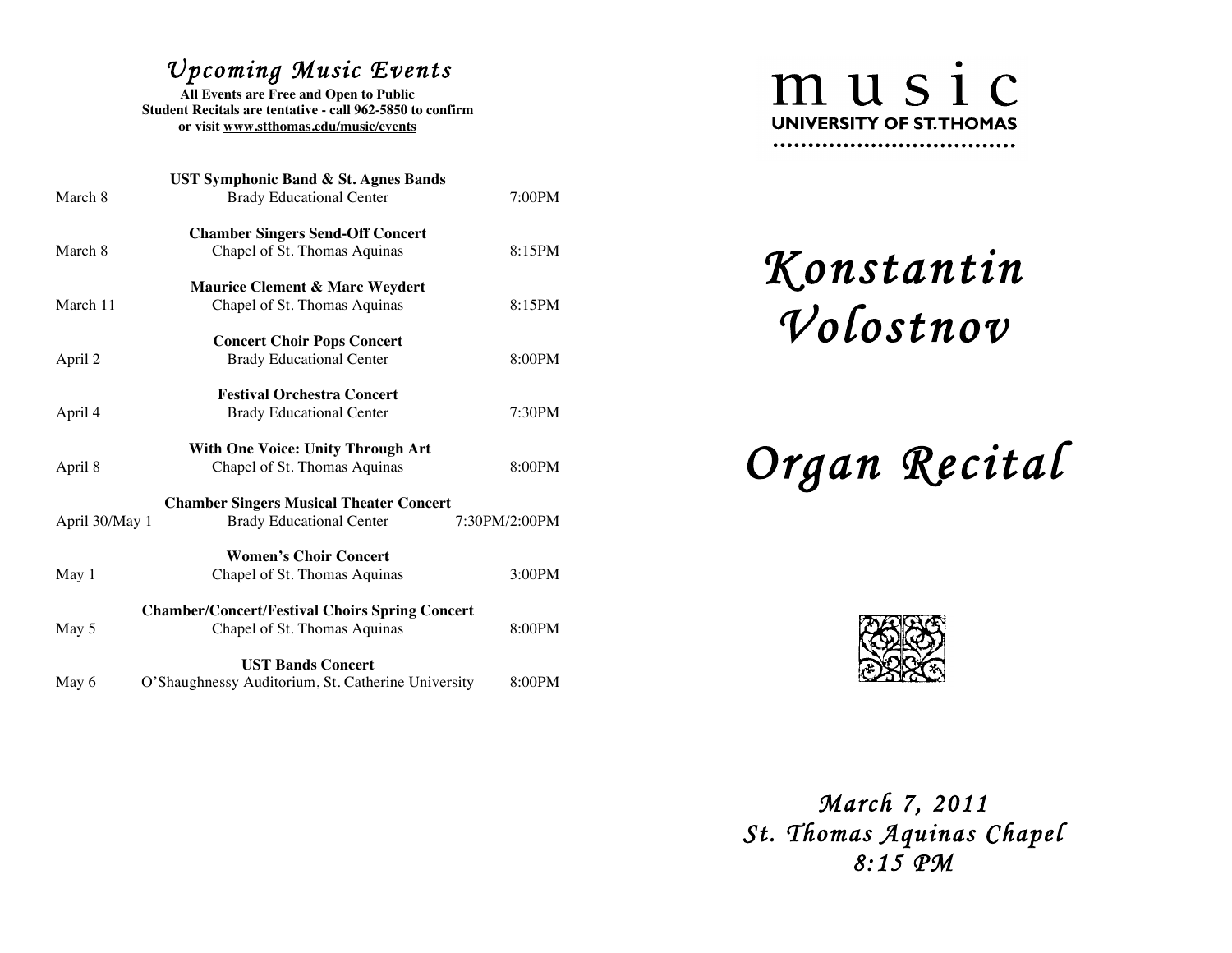## *Upcoming Music Events*

**All Events are Free and Open to Public Student Recitals are tentative - call 962-5850 to confirm or visit www.stthomas.edu/music/events**

| <b>UST Symphonic Band &amp; St. Agnes Bands</b>       |                                                    |               |  |  |
|-------------------------------------------------------|----------------------------------------------------|---------------|--|--|
| March 8                                               | <b>Brady Educational Center</b>                    | 7:00PM        |  |  |
| <b>Chamber Singers Send-Off Concert</b>               |                                                    |               |  |  |
| March 8                                               | Chapel of St. Thomas Aquinas                       | 8:15PM        |  |  |
| <b>Maurice Clement &amp; Marc Weydert</b>             |                                                    |               |  |  |
| March 11                                              | Chapel of St. Thomas Aquinas                       | 8:15PM        |  |  |
| <b>Concert Choir Pops Concert</b>                     |                                                    |               |  |  |
| April 2                                               | <b>Brady Educational Center</b>                    | 8:00PM        |  |  |
| <b>Festival Orchestra Concert</b>                     |                                                    |               |  |  |
| April 4                                               | <b>Brady Educational Center</b>                    | 7:30PM        |  |  |
| <b>With One Voice: Unity Through Art</b>              |                                                    |               |  |  |
| April 8                                               | Chapel of St. Thomas Aquinas                       | 8:00PM        |  |  |
| <b>Chamber Singers Musical Theater Concert</b>        |                                                    |               |  |  |
| April 30/May 1                                        | <b>Brady Educational Center</b>                    | 7:30PM/2:00PM |  |  |
| <b>Women's Choir Concert</b>                          |                                                    |               |  |  |
| May 1                                                 | Chapel of St. Thomas Aquinas                       | 3:00PM        |  |  |
| <b>Chamber/Concert/Festival Choirs Spring Concert</b> |                                                    |               |  |  |
| May 5                                                 | Chapel of St. Thomas Aquinas                       | 8:00PM        |  |  |
| <b>UST Bands Concert</b>                              |                                                    |               |  |  |
| May 6                                                 | O'Shaughnessy Auditorium, St. Catherine University | 8:00PM        |  |  |



*Konstantin Volostnov* 

## *Organ Recital*



 *March 7, 2011 St. Thomas Aquinas Chapel 8:15 PM*